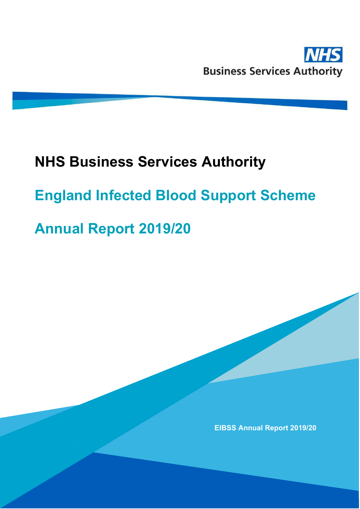

# **NHS Business Services Authority**

# **England Infected Blood Support Scheme**

# **Annual Report 2019/20**

**EIBSS Annual Report 2019/20**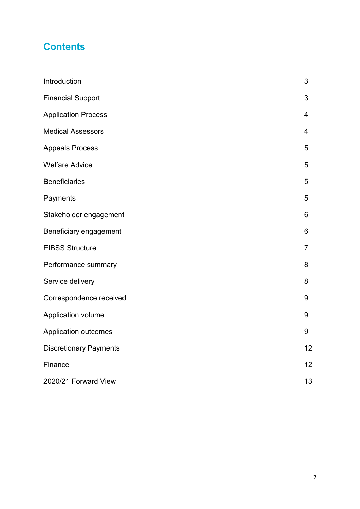# **Contents**

| Introduction                  | 3              |
|-------------------------------|----------------|
| <b>Financial Support</b>      | 3              |
| <b>Application Process</b>    | 4              |
| <b>Medical Assessors</b>      | $\overline{4}$ |
| <b>Appeals Process</b>        | 5              |
| <b>Welfare Advice</b>         | 5              |
| <b>Beneficiaries</b>          | 5              |
| Payments                      | 5              |
| Stakeholder engagement        | 6              |
| Beneficiary engagement        | 6              |
| <b>EIBSS Structure</b>        | $\overline{7}$ |
| Performance summary           | 8              |
| Service delivery              | 8              |
| Correspondence received       | 9              |
| Application volume            | 9              |
| <b>Application outcomes</b>   | 9              |
| <b>Discretionary Payments</b> | 12             |
| Finance                       | 12             |
| 2020/21 Forward View          | 13             |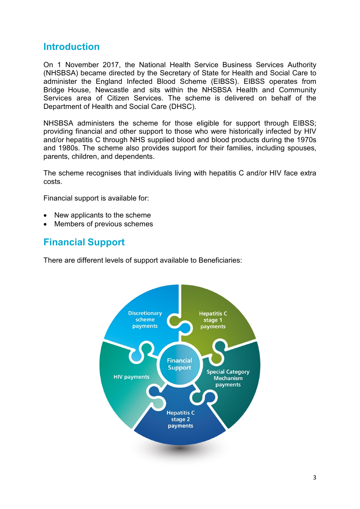#### **Introduction**

On 1 November 2017, the National Health Service Business Services Authority (NHSBSA) became directed by the Secretary of State for Health and Social Care to administer the England Infected Blood Scheme (EIBSS). EIBSS operates from Bridge House, Newcastle and sits within the NHSBSA Health and Community Services area of Citizen Services. The scheme is delivered on behalf of the Department of Health and Social Care (DHSC).

NHSBSA administers the scheme for those eligible for support through EIBSS; providing financial and other support to those who were historically infected by HIV and/or hepatitis C through NHS supplied blood and blood products during the 1970s and 1980s. The scheme also provides support for their families, including spouses, parents, children, and dependents.

The scheme recognises that individuals living with hepatitis C and/or HIV face extra costs.

Financial support is available for:

- New applicants to the scheme
- Members of previous schemes

### **Financial Support**

There are different levels of support available to Beneficiaries:

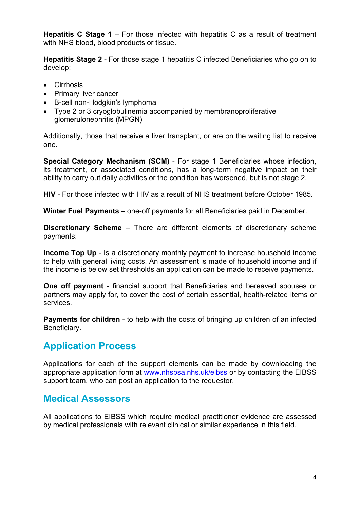**Hepatitis C Stage 1** – For those infected with hepatitis C as a result of treatment with NHS blood, blood products or tissue.

**Hepatitis Stage 2** - For those stage 1 hepatitis C infected Beneficiaries who go on to develop:

- Cirrhosis
- Primary liver cancer
- B-cell non-Hodgkin's lymphoma
- Type 2 or 3 cryoglobulinemia accompanied by membranoproliferative glomerulonephritis (MPGN)

Additionally, those that receive a liver transplant, or are on the waiting list to receive one.

**Special Category Mechanism (SCM)** - For stage 1 Beneficiaries whose infection, its treatment, or associated conditions, has a long-term negative impact on their ability to carry out daily activities or the condition has worsened, but is not stage 2.

**HIV** - For those infected with HIV as a result of NHS treatment before October 1985.

**Winter Fuel Payments** – one-off payments for all Beneficiaries paid in December.

**Discretionary Scheme** – There are different elements of discretionary scheme payments:

**Income Top Up** - Is a discretionary monthly payment to increase household income to help with general living costs. An assessment is made of household income and if the income is below set thresholds an application can be made to receive payments.

**One off payment** - financial support that Beneficiaries and bereaved spouses or partners may apply for, to cover the cost of certain essential, health-related items or services.

**Payments for children** - to help with the costs of bringing up children of an infected Beneficiary.

# **Application Process**

Applications for each of the support elements can be made by downloading the appropriate application form at [www.nhsbsa.nhs.uk/eibss](http://www.nhsbsa.nhs.uk/eibss) or by contacting the EIBSS support team, who can post an application to the requestor.

#### **Medical Assessors**

All applications to EIBSS which require medical practitioner evidence are assessed by medical professionals with relevant clinical or similar experience in this field.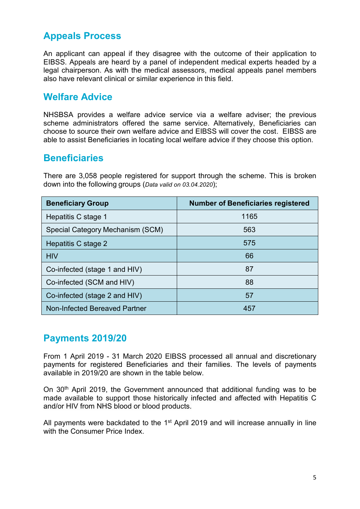# **Appeals Process**

An applicant can appeal if they disagree with the outcome of their application to EIBSS. Appeals are heard by a panel of independent medical experts headed by a legal chairperson. As with the medical assessors, medical appeals panel members also have relevant clinical or similar experience in this field.

#### **Welfare Advice**

NHSBSA provides a welfare advice service via a welfare adviser; the previous scheme administrators offered the same service. Alternatively, Beneficiaries can choose to source their own welfare advice and EIBSS will cover the cost. EIBSS are able to assist Beneficiaries in locating local welfare advice if they choose this option.

#### **Beneficiaries**

There are 3,058 people registered for support through the scheme. This is broken down into the following groups (*Data valid on 03.04.2020*);

| <b>Beneficiary Group</b>         | <b>Number of Beneficiaries registered</b> |
|----------------------------------|-------------------------------------------|
| Hepatitis C stage 1              | 1165                                      |
| Special Category Mechanism (SCM) | 563                                       |
| Hepatitis C stage 2              | 575                                       |
| <b>HIV</b>                       | 66                                        |
| Co-infected (stage 1 and HIV)    | 87                                        |
| Co-infected (SCM and HIV)        | 88                                        |
| Co-infected (stage 2 and HIV)    | 57                                        |
| Non-Infected Bereaved Partner    | 457                                       |

#### **Payments 2019/20**

From 1 April 2019 - 31 March 2020 EIBSS processed all annual and discretionary payments for registered Beneficiaries and their families. The levels of payments available in 2019/20 are shown in the table below.

On 30th April 2019, the Government announced that additional funding was to be made available to support those historically infected and affected with Hepatitis C and/or HIV from NHS blood or blood products.

All payments were backdated to the  $1<sup>st</sup>$  April 2019 and will increase annually in line with the Consumer Price Index.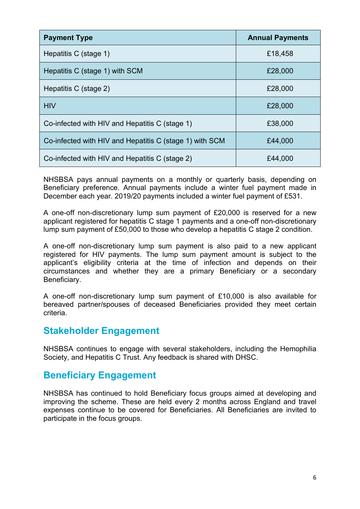| <b>Payment Type</b>                                     | <b>Annual Payments</b> |
|---------------------------------------------------------|------------------------|
| Hepatitis C (stage 1)                                   | £18,458                |
| Hepatitis C (stage 1) with SCM                          | £28,000                |
| Hepatitis C (stage 2)                                   | £28,000                |
| <b>HIV</b>                                              | £28,000                |
| Co-infected with HIV and Hepatitis C (stage 1)          | £38,000                |
| Co-infected with HIV and Hepatitis C (stage 1) with SCM | £44,000                |
| Co-infected with HIV and Hepatitis C (stage 2)          | £44,000                |

NHSBSA pays annual payments on a monthly or quarterly basis, depending on Beneficiary preference. Annual payments include a winter fuel payment made in December each year. 2019/20 payments included a winter fuel payment of £531.

A one-off non-discretionary lump sum payment of £20,000 is reserved for a new applicant registered for hepatitis C stage 1 payments and a one-off non-discretionary lump sum payment of £50,000 to those who develop a hepatitis C stage 2 condition.

A one-off non-discretionary lump sum payment is also paid to a new applicant registered for HIV payments. The lump sum payment amount is subject to the applicant's eligibility criteria at the time of infection and depends on their circumstances and whether they are a primary Beneficiary or a secondary Beneficiary.

A one-off non-discretionary lump sum payment of £10,000 is also available for bereaved partner/spouses of deceased Beneficiaries provided they meet certain criteria.

#### **Stakeholder Engagement**

NHSBSA continues to engage with several stakeholders, including the Hemophilia Society, and Hepatitis C Trust. Any feedback is shared with DHSC.

#### **Beneficiary Engagement**

NHSBSA has continued to hold Beneficiary focus groups aimed at developing and improving the scheme. These are held every 2 months across England and travel expenses continue to be covered for Beneficiaries. All Beneficiaries are invited to participate in the focus groups.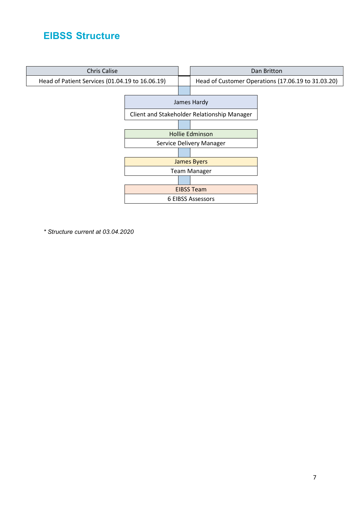## **EIBSS Structure**



*\* Structure current at 03.04.2020*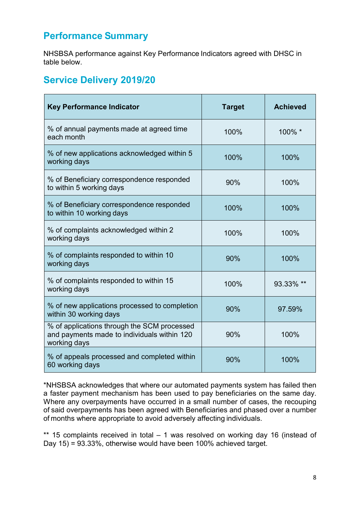# **Performance Summary**

NHSBSA performance against Key Performance Indicators agreed with DHSC in table below.

# **Service Delivery 2019/20**

| <b>Key Performance Indicator</b>                                                                           | <b>Target</b> | <b>Achieved</b> |
|------------------------------------------------------------------------------------------------------------|---------------|-----------------|
| % of annual payments made at agreed time<br>each month                                                     | 100%          | 100% *          |
| % of new applications acknowledged within 5<br>working days                                                | 100%          | 100%            |
| % of Beneficiary correspondence responded<br>to within 5 working days                                      | 90%           | 100%            |
| % of Beneficiary correspondence responded<br>to within 10 working days                                     | 100%          | 100%            |
| % of complaints acknowledged within 2<br>working days                                                      | 100%          | 100%            |
| % of complaints responded to within 10<br>working days                                                     | 90%           | 100%            |
| % of complaints responded to within 15<br>working days                                                     | 100%          | 93.33% **       |
| % of new applications processed to completion<br>within 30 working days                                    | 90%           | 97.59%          |
| % of applications through the SCM processed<br>and payments made to individuals within 120<br>working days | 90%           | 100%            |
| % of appeals processed and completed within<br>60 working days                                             | 90%           | 100%            |

\*NHSBSA acknowledges that where our automated payments system has failed then a faster payment mechanism has been used to pay beneficiaries on the same day. Where any overpayments have occurred in a small number of cases, the recouping of said overpayments has been agreed with Beneficiaries and phased over a number of months where appropriate to avoid adversely affecting individuals.

\*\* 15 complaints received in total – 1 was resolved on working day 16 (instead of Day 15) = 93.33%, otherwise would have been 100% achieved target.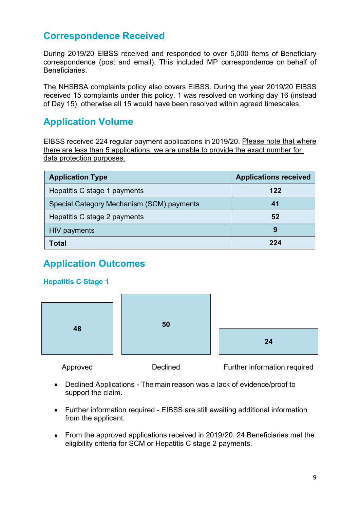# **Correspondence Received**

During 2019/20 EIBSS received and responded to over 5,000 items of Beneficiary correspondence (post and email). This included MP correspondence on behalf of Beneficiaries.

The NHSBSA complaints policy also covers EIBSS. During the year 2019/20 EIBSS received 15 complaints under this policy. 1 was resolved on working day 16 (instead of Day 15), otherwise all 15 would have been resolved within agreed timescales.

# **Application Volume**

EIBSS received 224 regular payment applications in 2019/20. Please note that where there are less than 5 applications, we are unable to provide the exact number for data protection purposes.

| <b>Application Type</b>                   | <b>Applications received</b> |
|-------------------------------------------|------------------------------|
| Hepatitis C stage 1 payments              | 122                          |
| Special Category Mechanism (SCM) payments | 41                           |
| Hepatitis C stage 2 payments              | 52                           |
| HIV payments                              |                              |
| Total                                     | 22 A                         |

# **Application Outcomes**

#### **Hepatitis C Stage 1**



Approved Declined Further information required

- Declined Applications The main reason was a lack of evidence/proof to support the claim.
- Further information required EIBSS are still awaiting additional information from the applicant.
- From the approved applications received in 2019/20, 24 Beneficiaries met the eligibility criteria for SCM or Hepatitis C stage 2 payments.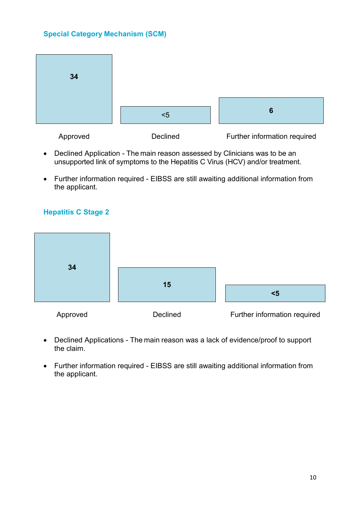#### **Special Category Mechanism (SCM)**



- Declined Application The main reason assessed by Clinicians was to be an unsupported link of symptoms to the Hepatitis C Virus (HCV) and/or treatment.
- Further information required EIBSS are still awaiting additional information from the applicant.

#### **Hepatitis C Stage 2**



- Declined Applications The main reason was a lack of evidence/proof to support the claim.
- Further information required EIBSS are still awaiting additional information from the applicant.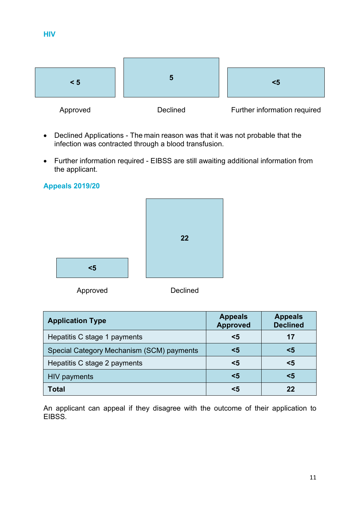| < 5      | э               | $5$                          |
|----------|-----------------|------------------------------|
| Approved | <b>Declined</b> | Further information required |

- Declined Applications The main reason was that it was not probable that the infection was contracted through a blood transfusion.
- Further information required EIBSS are still awaiting additional information from the applicant.

#### **Appeals 2019/20**



| <b>Application Type</b>                   | <b>Appeals</b><br><b>Approved</b> | <b>Appeals</b><br><b>Declined</b> |
|-------------------------------------------|-----------------------------------|-----------------------------------|
| Hepatitis C stage 1 payments              | $5$                               | 17                                |
| Special Category Mechanism (SCM) payments | <5                                | <5                                |
| Hepatitis C stage 2 payments              | <5                                | $5$                               |
| <b>HIV payments</b>                       | $5$                               | <5                                |
| <b>Total</b>                              | <5                                | 22                                |

An applicant can appeal if they disagree with the outcome of their application to EIBSS.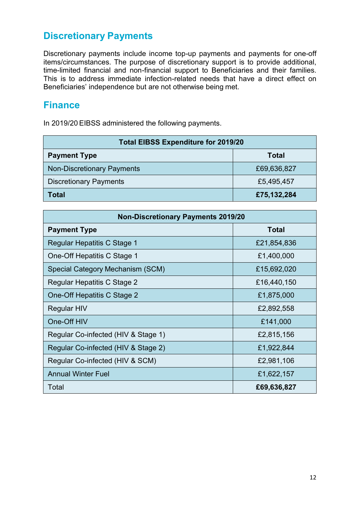# **Discretionary Payments**

Discretionary payments include income top-up payments and payments for one-off items/circumstances. The purpose of discretionary support is to provide additional, time-limited financial and non-financial support to Beneficiaries and their families. This is to address immediate infection-related needs that have a direct effect on Beneficiaries' independence but are not otherwise being met.

### **Finance**

In 2019/20 EIBSS administered the following payments.

| <b>Total EIBSS Expenditure for 2019/20</b> |              |  |
|--------------------------------------------|--------------|--|
| <b>Payment Type</b>                        | <b>Total</b> |  |
| <b>Non-Discretionary Payments</b>          | £69,636,827  |  |
| <b>Discretionary Payments</b>              | £5,495,457   |  |
| <b>Total</b>                               | £75,132,284  |  |

| <b>Non-Discretionary Payments 2019/20</b> |             |  |
|-------------------------------------------|-------------|--|
| <b>Payment Type</b>                       | Total       |  |
| Regular Hepatitis C Stage 1               | £21,854,836 |  |
| One-Off Hepatitis C Stage 1               | £1,400,000  |  |
| Special Category Mechanism (SCM)          | £15,692,020 |  |
| Regular Hepatitis C Stage 2               | £16,440,150 |  |
| One-Off Hepatitis C Stage 2               | £1,875,000  |  |
| Regular HIV                               | £2,892,558  |  |
| One-Off HIV                               | £141,000    |  |
| Regular Co-infected (HIV & Stage 1)       | £2,815,156  |  |
| Regular Co-infected (HIV & Stage 2)       | £1,922,844  |  |
| Regular Co-infected (HIV & SCM)           | £2,981,106  |  |
| <b>Annual Winter Fuel</b>                 | £1,622,157  |  |
| Total                                     | £69,636,827 |  |